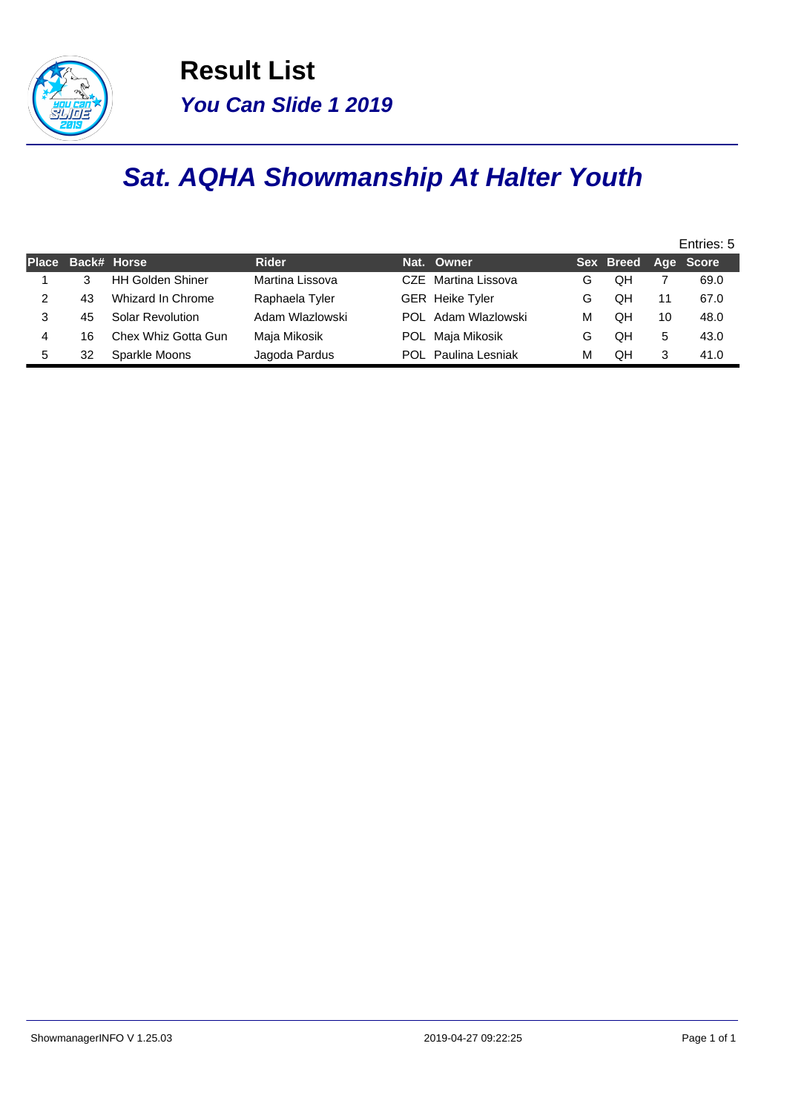

**Result List You Can Slide 1 2019**

## **Sat. AQHA Showmanship At Halter Youth**

|              |    |                         |                 |                            |   |                     |    | Entries: 5 |  |  |  |  |  |  |  |  |
|--------------|----|-------------------------|-----------------|----------------------------|---|---------------------|----|------------|--|--|--|--|--|--|--|--|
| <b>Place</b> |    | Back# Horse             | <b>Rider</b>    | Nat. Owner                 |   | Sex Breed Age Score |    |            |  |  |  |  |  |  |  |  |
|              |    | <b>HH Golden Shiner</b> | Martina Lissova | CZE Martina Lissova        | G | OΗ                  |    | 69.0       |  |  |  |  |  |  |  |  |
|              | 43 | Whizard In Chrome       | Raphaela Tyler  | <b>GER</b> Heike Tyler     | G | QΗ                  | 11 | 67.0       |  |  |  |  |  |  |  |  |
| 3            | 45 | <b>Solar Revolution</b> | Adam Wlazlowski | POL Adam Wlazlowski        | М | QH                  | 10 | 48.0       |  |  |  |  |  |  |  |  |
| 4            | 16 | Chex Whiz Gotta Gun     | Maja Mikosik    | POL Maja Mikosik           | G | QΗ                  | 5  | 43.0       |  |  |  |  |  |  |  |  |
| 5            | 32 | Sparkle Moons           | Jagoda Pardus   | <b>POL</b> Paulina Lesniak | М | QΗ                  | 3  | 41.0       |  |  |  |  |  |  |  |  |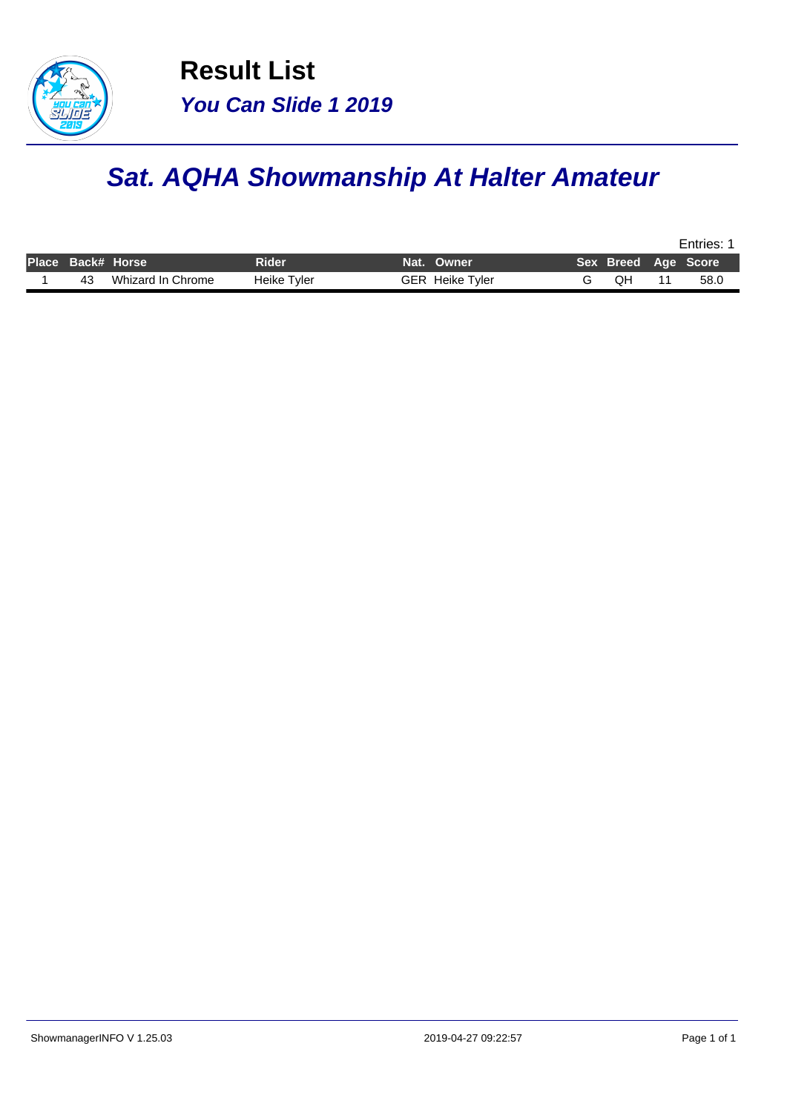

## **Sat. AQHA Showmanship At Halter Amateur**

|                   |                   |             |                        |    | Entries:            |
|-------------------|-------------------|-------------|------------------------|----|---------------------|
| Place Back# Horse |                   | Rider       | Nat. Owner             |    | Sex Breed Age Score |
| 43                | Whizard In Chrome | Heike Tyler | <b>GER</b> Heike Tyler | QH | 58.0                |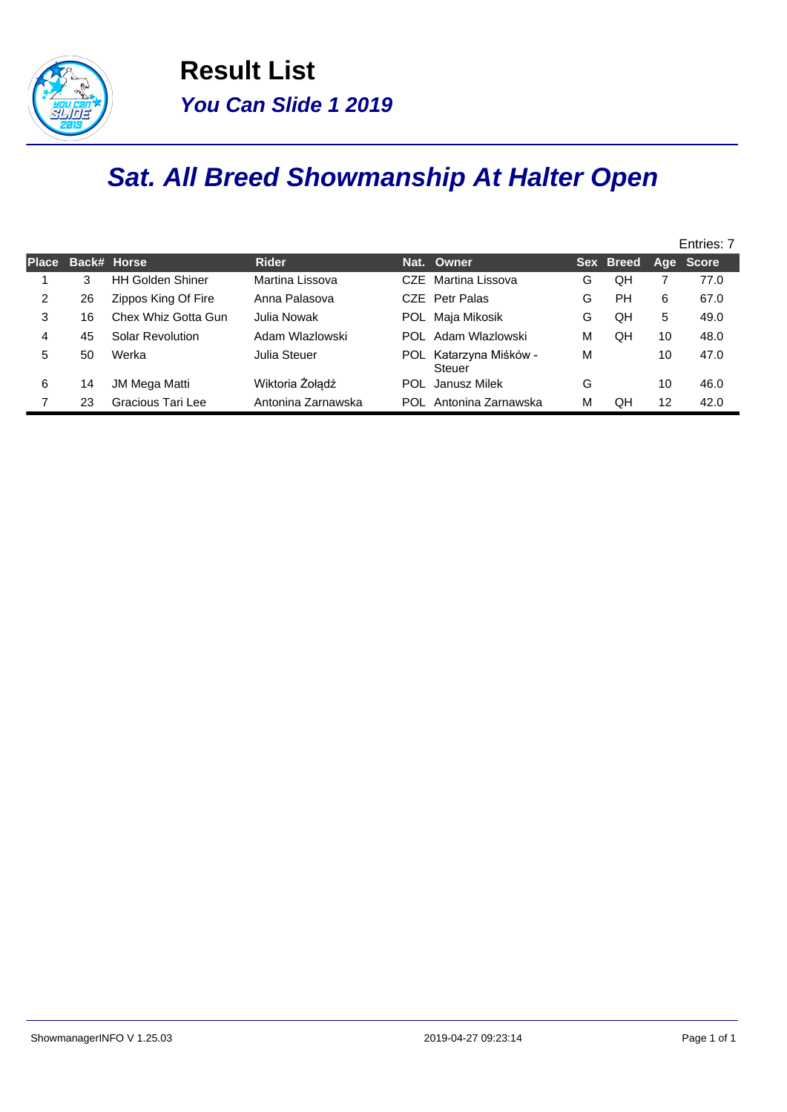

## **Sat. All Breed Showmanship At Halter Open**

|              |    |                         |                    |      |                                     |   |           |    | Entries: 7 |
|--------------|----|-------------------------|--------------------|------|-------------------------------------|---|-----------|----|------------|
| <b>Place</b> |    | Back# Horse             | <b>Rider</b>       |      | Nat. Owner                          |   | Sex Breed |    | Age Score  |
|              | 3  | <b>HH Golden Shiner</b> | Martina Lissova    |      | CZE Martina Lissova                 | G | QΗ        |    | 77.0       |
| 2            | 26 | Zippos King Of Fire     | Anna Palasova      |      | CZE Petr Palas                      | G | PН        | 6  | 67.0       |
| 3            | 16 | Chex Whiz Gotta Gun     | Julia Nowak        |      | POL Maja Mikosik                    | G | QΗ        | 5  | 49.0       |
| 4            | 45 | <b>Solar Revolution</b> | Adam Wlazlowski    |      | POL Adam Wlazlowski                 | М | QH        | 10 | 48.0       |
| 5            | 50 | Werka                   | Julia Steuer       | POL. | Katarzyna Miśków -<br><b>Steuer</b> | M |           | 10 | 47.0       |
| 6            | 14 | <b>JM Mega Matti</b>    | Wiktoria Żołądź    | POL  | Janusz Milek                        | G |           | 10 | 46.0       |
|              | 23 | Gracious Tari Lee       | Antonina Zarnawska | POL  | Antonina Zarnawska                  | M | QΗ        | 12 | 42.0       |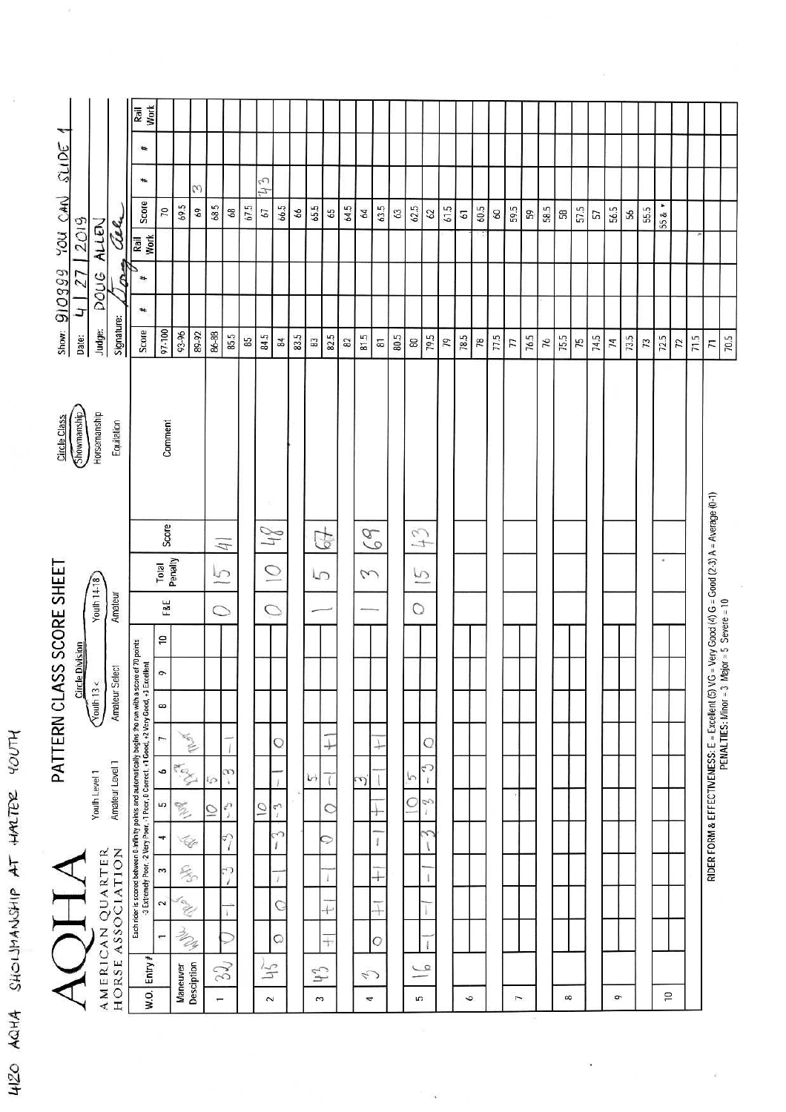| ٣<br>SCIDE<br>YOU OAN<br>910999<br>Show: | 2019<br>J<br>Date:     | ALLEN<br>pous<br>Judge:                           | Cell.<br>Signature:                  | Work<br>Rail<br>₩<br>#<br>Score<br>Rail<br>Work<br>#<br>#<br>Score                                                                                                                                    | 70<br>97-100                                                                            | 69.5<br>93-96                                                                         | $\omega$<br>69<br>89-92 | 68.5<br>86-88                         | 68<br>85.5                                         | 67.5<br>85 | 113<br>67<br>84.5                    | 66.5<br>$\overline{a}$                    | 66<br>83.5 | 65.5<br>63          | 59<br>82.5                                              | 64.5<br>$_{\rm 82}$ | 64<br>81.5 | 63.5<br>$\overline{\mathbf{g}}$ | 63<br>80.5 | 62.5<br>$\tt 80$                    | 62<br>79.5             | 61.5<br>79 | $\overline{\mathbf{6}}$<br>78.5 | 60.5<br>78 | $60\,$<br>77.5 | 59.5<br>$\overline{7}$ | S9<br>76.5 | 58.5<br>76 | <b>B</b><br>75.5 | 57.5<br>75 | 57<br>74.5 | 56.5<br>74 | $56\,$<br>73.5 | 55.5<br>$\overline{r}$ | 55 & +<br>72.5 | $\overline{z}$ | 71.5 | $\overline{r}$                                                                                                                                  | 70.5 |
|------------------------------------------|------------------------|---------------------------------------------------|--------------------------------------|-------------------------------------------------------------------------------------------------------------------------------------------------------------------------------------------------------|-----------------------------------------------------------------------------------------|---------------------------------------------------------------------------------------|-------------------------|---------------------------------------|----------------------------------------------------|------------|--------------------------------------|-------------------------------------------|------------|---------------------|---------------------------------------------------------|---------------------|------------|---------------------------------|------------|-------------------------------------|------------------------|------------|---------------------------------|------------|----------------|------------------------|------------|------------|------------------|------------|------------|------------|----------------|------------------------|----------------|----------------|------|-------------------------------------------------------------------------------------------------------------------------------------------------|------|
| Circle Class                             | Showmanship            | Horsemanship                                      | Equitation                           |                                                                                                                                                                                                       | Comment                                                                                 |                                                                                       |                         |                                       |                                                    |            |                                      |                                           |            |                     |                                                         |                     |            |                                 |            |                                     |                        |            |                                 |            |                |                        |            |            |                  |            |            |            |                |                        |                |                |      |                                                                                                                                                 |      |
| ASS SCORE SHEET                          | <b>Circle Division</b> | Youth 14-18<br>$\sqrt{\frac{1}{2}}$ auth 13 $\lt$ | Amateur<br>Amateur Select            |                                                                                                                                                                                                       | Score<br>Total<br>Penalty<br>F&E<br>$\mathrel{\mathop{\mathsf{P}}\nolimits}$<br>$\circ$ |                                                                                       |                         | $\overline{4}$<br>$\overline{5}$<br>0 |                                                    |            | $\mathcal{J}$<br>$\overline{O}$<br>O |                                           |            | 4<br>$\sqrt{2}$     |                                                         |                     | 69<br>3    |                                 |            | $f_+$<br>5<br>O                     |                        |            |                                 |            |                |                        |            |            |                  |            |            |            |                |                        | ×,             |                |      | RIDER FORM & EFFECTIVENESS: E = Excellent (5) VG = Very Good (4) G = Good (2-3) A = Average (0-1)<br>PENALTIES: Minor = 3 Major = 5 Severe = 10 |      |
| PATTERN CL<br>$\overline{\mathrm{d}}$    |                        | Youth Level 1<br>AMERICAN QUARTER                 | Amateur Level 1<br>HORSE ASSOCIATION | Each rider is scored between D-Infinity points and automatically begins the run with a score of 70 points<br>-3 Extremely Poor, -2 Very Poor, -1 Poor, 0 Cornect, +1 Good, +2 Very Good, +3 Excellent | $\infty$<br>Ļ<br>ó<br>E<br>4<br>$\sim$<br>$\sim$<br>$\overline{ }$                      | AND A<br>RAY<br><b>Contract Contract Contract</b><br>Þ<br>$\frac{C}{2}$<br>CON<br>may |                         | ြ<br>C                                | CC.<br>¥.<br>$\zeta$<br>P,<br>$\overline{1}$<br>رے |            | $\overline{O}$                       | Q<br>5<br>$\boldsymbol{t}$<br>~<br>ï<br>O |            | lò                  | Į<br>C<br>0<br>$\mathbf{I}$<br>$^{+}$<br>$\overline{+}$ |                     | S          | →<br>÷<br>+<br>O                |            | P<br>C                              | Q<br>6<br>Ŧ<br>9<br>ï. |            |                                 |            |                |                        |            |            |                  |            |            |            |                |                        |                |                |      |                                                                                                                                                 |      |
|                                          |                        |                                                   |                                      | $Entry$ #<br>W.O.                                                                                                                                                                                     |                                                                                         | Maneuver                                                                              | Desciption              | 32<br>$\overline{ }$                  |                                                    |            | $\Xi$<br>$\sim$                      |                                           |            | $\mathfrak{h}$<br>3 |                                                         |                     | 4)<br>4    |                                 |            | $\overline{\mathcal{C}}$<br>--<br>5 |                        |            | ó                               |            |                | I                      |            |            | $\infty$         |            |            | q          |                |                        | $\overline{C}$ |                |      |                                                                                                                                                 |      |

HISO AQHA SHOLIMANGHIP AT HALTER YOUTH

 $\widetilde{\mathcal{G}}$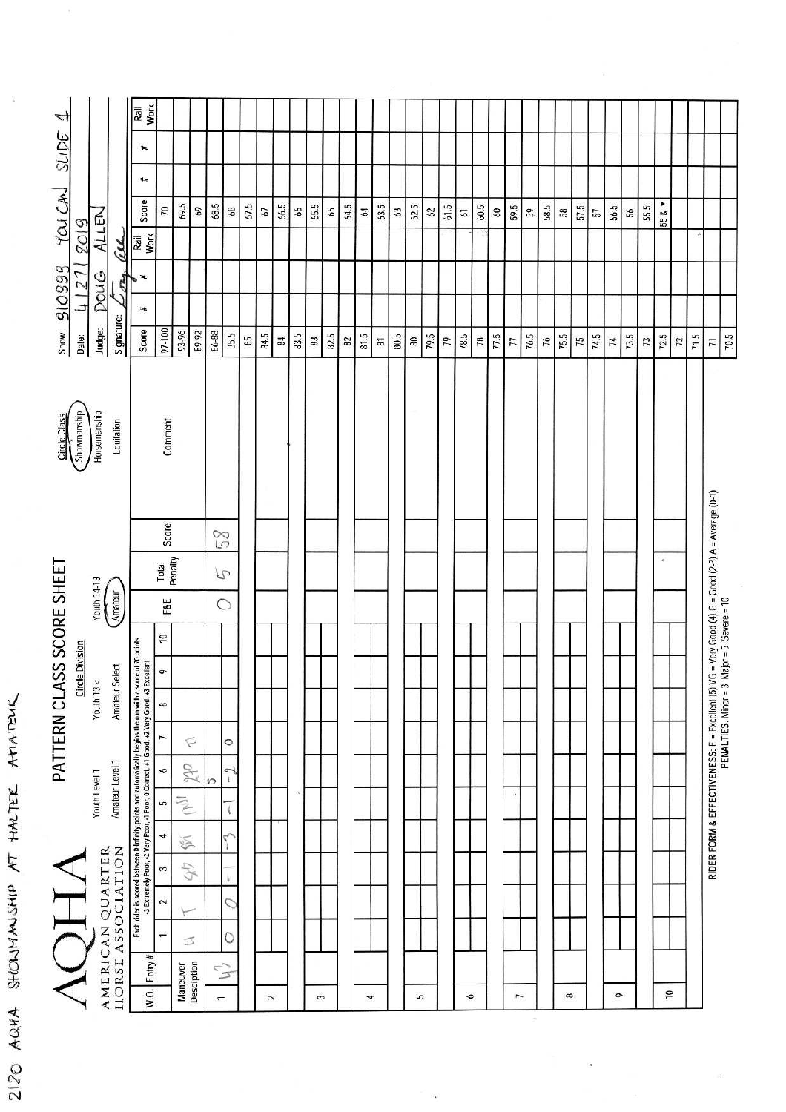| 4<br>YOU CAN SLIDE<br>ALLEN<br>2019<br>au<br>910999<br>Doug<br>27<br>254<br>c.<br>Signature:<br>Judge:<br>Show:<br>Date: | <b>Work</b><br>Rail<br>#<br>$\ddagger$<br>Score<br>$\overline{2}$<br>Rail<br>Work<br>#<br>Score<br>97-100                                                                                                                                    | 69.5<br>93-96                                                     | 68.5<br>$69$<br>89.92<br>86-88 | $68\,$<br>85.5                                                           | 67.5<br>85 | 67<br>84.5 | 66.5<br>84 | 99<br>83.5 | 65.5<br>$_{\rm 3}$ | 65<br>82.5 | 64.5<br>$_{\rm B2}$ | 64<br>81.5 | 63.5<br>$\Xi$ | 63<br>80.5 | 62.5<br>$\rm g$ | 62<br>79.5 | 61.5<br>79 | 51<br>$78.5\,$ | 60.5<br>$\mathbb{R}$ | $60\,$<br>77.5 | 59.5<br>$\overline{7}$ | $\mathbb{S}^2$<br>76.5 | 58.5<br>76 | 58<br>75.5 | 57.5<br>75 | 57<br>74.5 | 56.5<br>$^\mathrm{74}$ | 56<br>73.5 | 55.5<br>$\boldsymbol{r}$ | 55& *<br>72.5 | $\overline{z}$ | 71.5 | $\overline{r}$                                          | 70.5                                       |
|--------------------------------------------------------------------------------------------------------------------------|----------------------------------------------------------------------------------------------------------------------------------------------------------------------------------------------------------------------------------------------|-------------------------------------------------------------------|--------------------------------|--------------------------------------------------------------------------|------------|------------|------------|------------|--------------------|------------|---------------------|------------|---------------|------------|-----------------|------------|------------|----------------|----------------------|----------------|------------------------|------------------------|------------|------------|------------|------------|------------------------|------------|--------------------------|---------------|----------------|------|---------------------------------------------------------|--------------------------------------------|
| Circle Class<br>Showmanship<br>Horsemanship<br>Equitation                                                                | Comment                                                                                                                                                                                                                                      |                                                                   |                                |                                                                          |            |            |            |            |                    |            |                     |            |               |            |                 |            |            |                |                      |                |                        |                        |            |            |            |            |                        |            |                          |               |                |      |                                                         |                                            |
| PATTERN CLASS SCORE SHEET<br>$\frac{Volume}{Gamma}$<br><b>Circle Division</b><br>Select<br>Youth $13 <$<br>Amateur       | Score<br>Total<br>Penalty<br>F&E<br>$\overline{\phantom{0}}$<br>¢<br>$\infty$                                                                                                                                                                |                                                                   |                                | $\mathbb{Z}$<br>$\mathcal{P}$<br>$\circ$                                 |            |            |            |            |                    |            |                     |            |               |            |                 |            |            |                |                      |                |                        |                        |            |            |            |            |                        |            |                          | ×             |                |      | $VG$ = Very Good (4) $G$ = Good (2-3) A = Average (0-1) | PENALTIES: Minor = 3 Major = 5 Severe = 10 |
| Amateur Level 1<br>Youth Level 1<br>AMERICAN QUARTER<br><b>HORSE ASSOCIATION</b>                                         | Each rider is scored between 0-Infinity points and automatically begins the run with a score of 70 points<br>- 3 Extremely Poor, -2 Very Poor, -1 Poor, 0 Correct, +1 Grod, +2 Very Good, +3 Excellent<br>$\overline{ }$<br>6<br>5<br>4<br>3 | $\subsetneq$<br>oth<br>$\tilde{\mathbb{E}}$<br>$\bigotimes$<br>47 | ภ                              | $\circ$<br>$\tilde{ }$<br>$\mathbf{t}$<br>$\overline{\mathfrak{c}}$<br>V |            |            |            |            |                    |            |                     |            |               |            |                 |            |            |                |                      |                | $\ddot{\phantom{1}}$   |                        |            |            |            |            |                        |            |                          |               |                |      | RIDER FORM & EFFECTIVENESS: E = Excellent (5)           |                                            |

 $\ddot{\phantom{0}}$ 

2120 AQHA SHOWMANSHIP AT HALTER AMAITENE